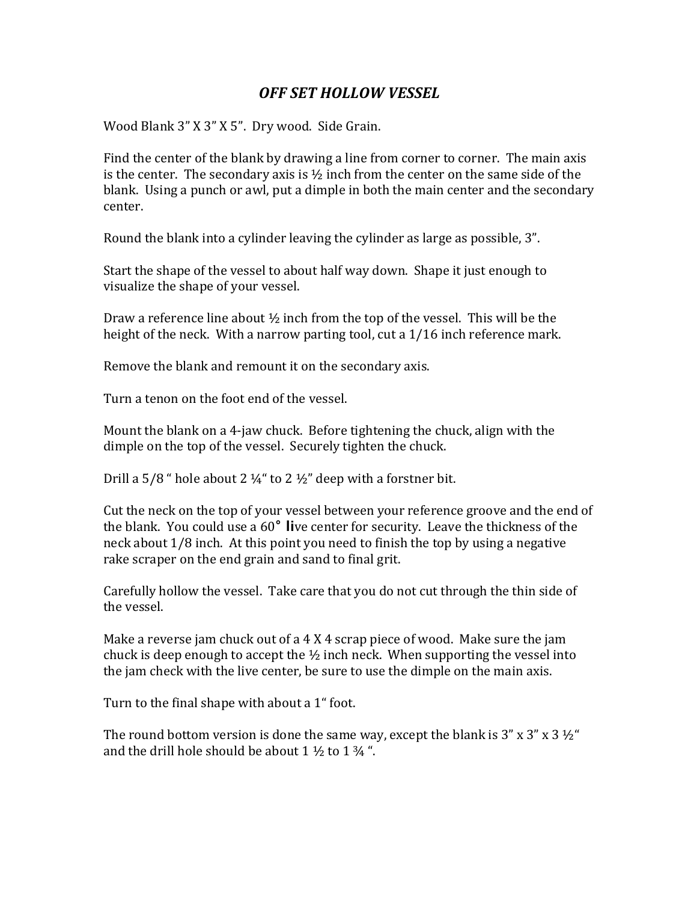## *OFF SET HOLLOW VESSEL*

Wood Blank 3" X 3" X 5". Dry wood. Side Grain.

Find the center of the blank by drawing a line from corner to corner. The main axis is the center. The secondary axis is  $\frac{1}{2}$  inch from the center on the same side of the blank. Using a punch or awl, put a dimple in both the main center and the secondary center.

Round the blank into a cylinder leaving the cylinder as large as possible, 3".

Start the shape of the vessel to about half way down. Shape it just enough to visualize the shape of your vessel.

Draw a reference line about  $\frac{1}{2}$  inch from the top of the vessel. This will be the height of the neck. With a narrow parting tool, cut a  $1/16$  inch reference mark.

Remove the blank and remount it on the secondary axis.

Turn a tenon on the foot end of the vessel.

Mount the blank on a 4-jaw chuck. Before tightening the chuck, align with the dimple on the top of the vessel. Securely tighten the chuck.

Drill a 5/8 " hole about 2  $\frac{1}{4}$ " to 2  $\frac{1}{2}$ " deep with a forstner bit.

Cut the neck on the top of your vessel between your reference groove and the end of the blank. You could use a 60<sup>°</sup> live center for security. Leave the thickness of the neck about  $1/8$  inch. At this point you need to finish the top by using a negative rake scraper on the end grain and sand to final grit.

Carefully hollow the vessel. Take care that you do not cut through the thin side of the vessel.

Make a reverse jam chuck out of a  $4 \text{ X } 4$  scrap piece of wood. Make sure the jam chuck is deep enough to accept the  $\frac{1}{2}$  inch neck. When supporting the vessel into the jam check with the live center, be sure to use the dimple on the main axis.

Turn to the final shape with about a 1" foot.

The round bottom version is done the same way, except the blank is  $3'' \times 3'' \times 3' \frac{1}{2}$ " and the drill hole should be about  $1\frac{1}{2}$  to  $1\frac{3}{4}$ ".